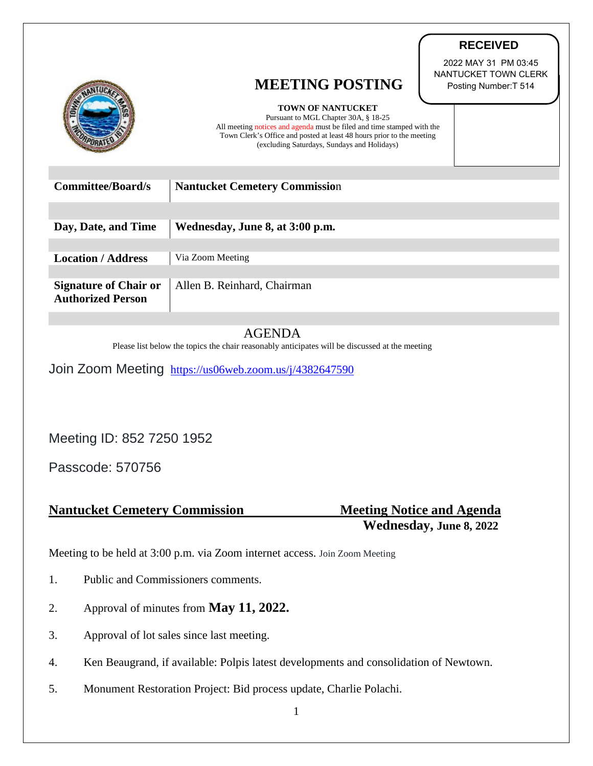|                                                          | <b>MEETING POSTING</b>                                                                                                                                                                                                                                             | 2022 MAY 31 PM 03:45<br>NANTUCKET TOWN CLERK<br>Posting Number: T 514 |
|----------------------------------------------------------|--------------------------------------------------------------------------------------------------------------------------------------------------------------------------------------------------------------------------------------------------------------------|-----------------------------------------------------------------------|
|                                                          | <b>TOWN OF NANTUCKET</b><br>Pursuant to MGL Chapter 30A, § 18-25<br>All meeting notices and agenda must be filed and time stamped with the<br>Town Clerk's Office and posted at least 48 hours prior to the meeting<br>(excluding Saturdays, Sundays and Holidays) |                                                                       |
| <b>Committee/Board/s</b>                                 | <b>Nantucket Cemetery Commission</b>                                                                                                                                                                                                                               |                                                                       |
|                                                          |                                                                                                                                                                                                                                                                    |                                                                       |
|                                                          |                                                                                                                                                                                                                                                                    |                                                                       |
| Day, Date, and Time                                      | Wednesday, June 8, at 3:00 p.m.                                                                                                                                                                                                                                    |                                                                       |
|                                                          |                                                                                                                                                                                                                                                                    |                                                                       |
| <b>Location / Address</b>                                | Via Zoom Meeting                                                                                                                                                                                                                                                   |                                                                       |
|                                                          |                                                                                                                                                                                                                                                                    |                                                                       |
| <b>Signature of Chair or</b><br><b>Authorized Person</b> | Allen B. Reinhard, Chairman                                                                                                                                                                                                                                        |                                                                       |
|                                                          |                                                                                                                                                                                                                                                                    |                                                                       |

## AGENDA

Please list below the topics the chair reasonably anticipates will be discussed at the meeting

Join Zoom Meeting <https://us06web.zoom.us/j/4382647590>

Meeting ID: 852 7250 1952

Passcode: 570756

## **Nantucket Cemetery Commission Meeting Notice and Agenda**

 **Wednesday, June 8, 2022**

**RECEIVED**

Meeting to be held at 3:00 p.m. via Zoom internet access. Join Zoom Meeting

1. Public and Commissioners comments.

- 2. Approval of minutes from **May 11, 2022.**
- 3. Approval of lot sales since last meeting.
- 4. Ken Beaugrand, if available: Polpis latest developments and consolidation of Newtown.
- 5. Monument Restoration Project: Bid process update, Charlie Polachi.